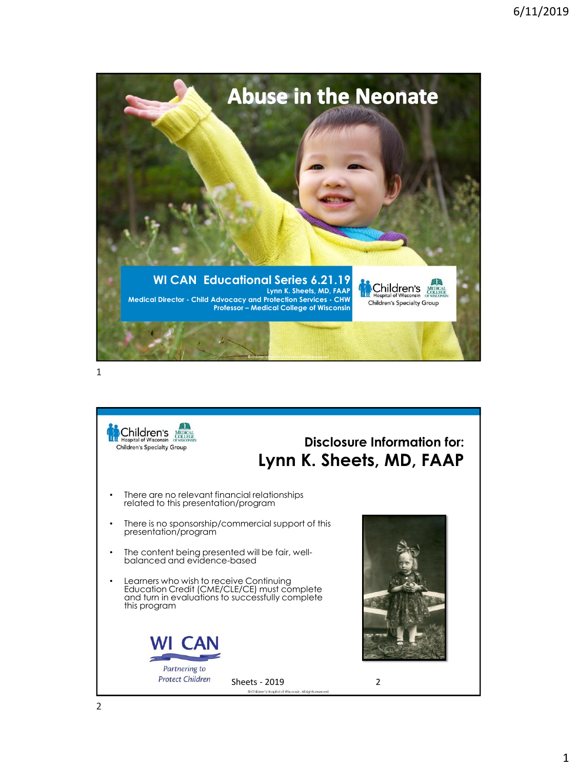



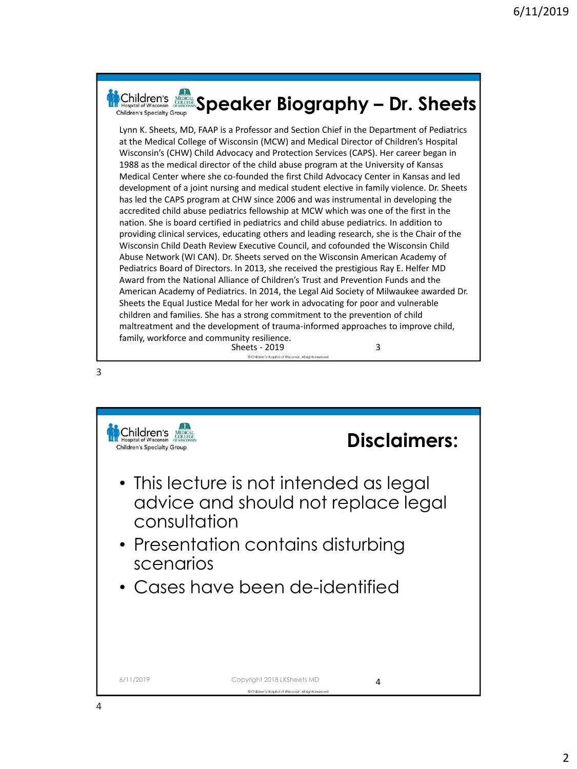|   | <b>Nonitaten's Account Speaker Biography - Dr. Sheets</b><br><b>Children's Specialty Group</b>                                                                                                                                                                                                                                                                                                                                                                                                                                                                                                                                                                                                                                                                                                                                                                                                                                                                                                                                                                                                                                                                                                                                                                                                                                                                                                                                                                                                                                                                                                                                                                                                                                                                                   |
|---|----------------------------------------------------------------------------------------------------------------------------------------------------------------------------------------------------------------------------------------------------------------------------------------------------------------------------------------------------------------------------------------------------------------------------------------------------------------------------------------------------------------------------------------------------------------------------------------------------------------------------------------------------------------------------------------------------------------------------------------------------------------------------------------------------------------------------------------------------------------------------------------------------------------------------------------------------------------------------------------------------------------------------------------------------------------------------------------------------------------------------------------------------------------------------------------------------------------------------------------------------------------------------------------------------------------------------------------------------------------------------------------------------------------------------------------------------------------------------------------------------------------------------------------------------------------------------------------------------------------------------------------------------------------------------------------------------------------------------------------------------------------------------------|
|   | Lynn K. Sheets, MD, FAAP is a Professor and Section Chief in the Department of Pediatrics<br>at the Medical College of Wisconsin (MCW) and Medical Director of Children's Hospital<br>Wisconsin's (CHW) Child Advocacy and Protection Services (CAPS). Her career began in<br>1988 as the medical director of the child abuse program at the University of Kansas<br>Medical Center where she co-founded the first Child Advocacy Center in Kansas and led<br>development of a joint nursing and medical student elective in family violence. Dr. Sheets<br>has led the CAPS program at CHW since 2006 and was instrumental in developing the<br>accredited child abuse pediatrics fellowship at MCW which was one of the first in the<br>nation. She is board certified in pediatrics and child abuse pediatrics. In addition to<br>providing clinical services, educating others and leading research, she is the Chair of the<br>Wisconsin Child Death Review Executive Council, and cofounded the Wisconsin Child<br>Abuse Network (WI CAN). Dr. Sheets served on the Wisconsin American Academy of<br>Pediatrics Board of Directors. In 2013, she received the prestigious Ray E. Helfer MD<br>Award from the National Alliance of Children's Trust and Prevention Funds and the<br>American Academy of Pediatrics. In 2014, the Legal Aid Society of Milwaukee awarded Dr.<br>Sheets the Equal Justice Medal for her work in advocating for poor and vulnerable<br>children and families. She has a strong commitment to the prevention of child<br>maltreatment and the development of trauma-informed approaches to improve child,<br>family, workforce and community resilience.<br>3<br><b>Sheets - 2019</b><br>Children's Hospital of Wisconsin. All rights reserved. |
| 3 |                                                                                                                                                                                                                                                                                                                                                                                                                                                                                                                                                                                                                                                                                                                                                                                                                                                                                                                                                                                                                                                                                                                                                                                                                                                                                                                                                                                                                                                                                                                                                                                                                                                                                                                                                                                  |

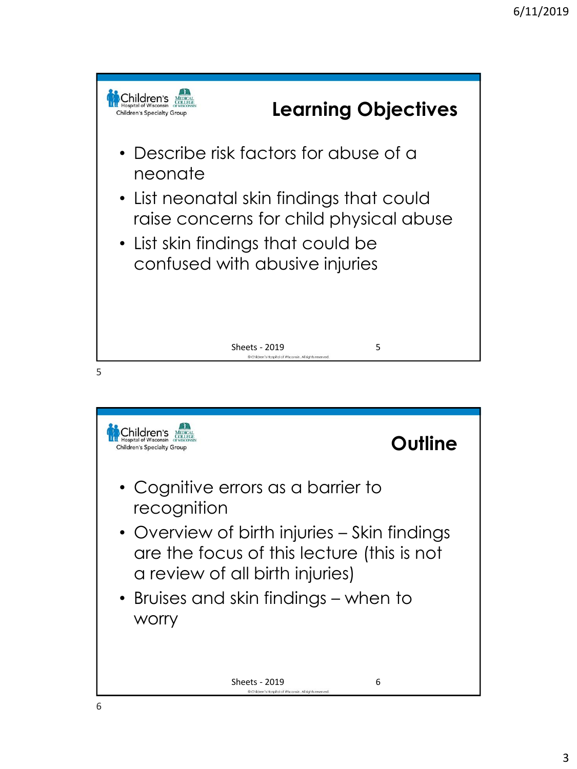

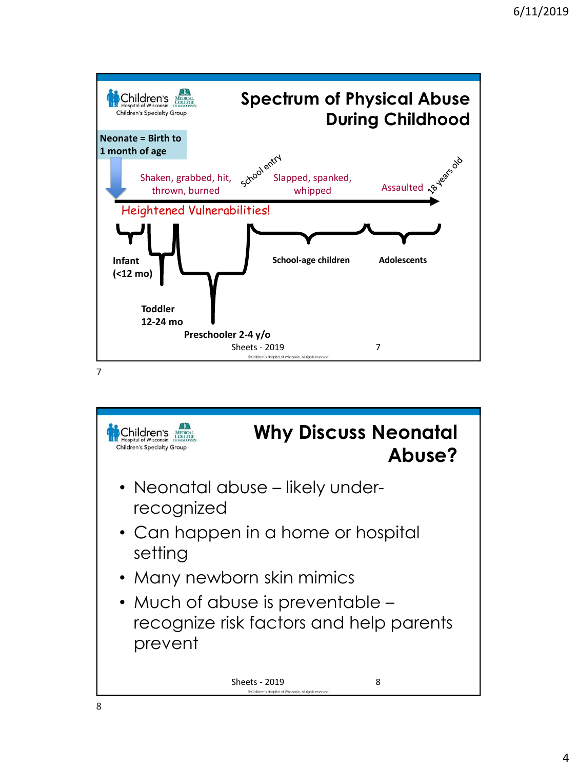

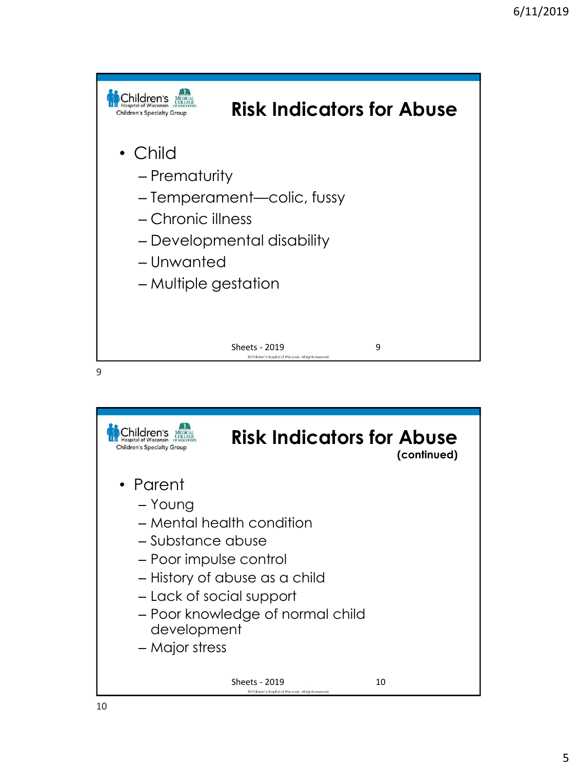

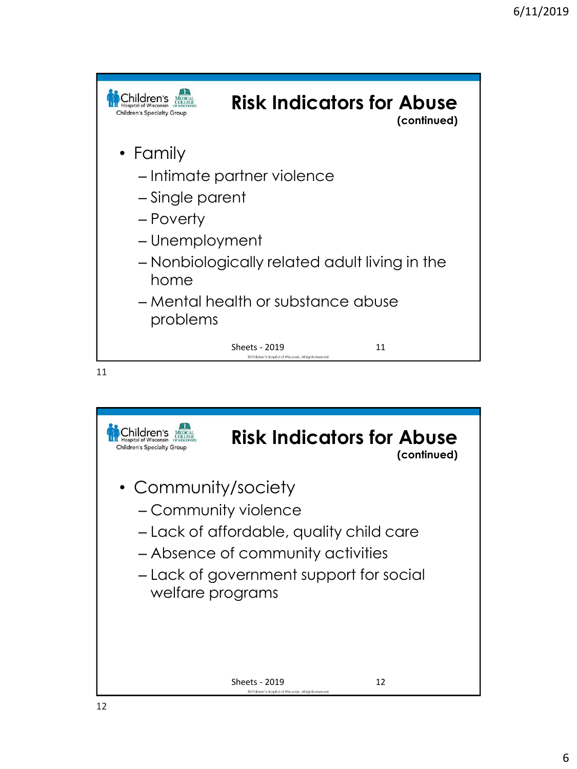

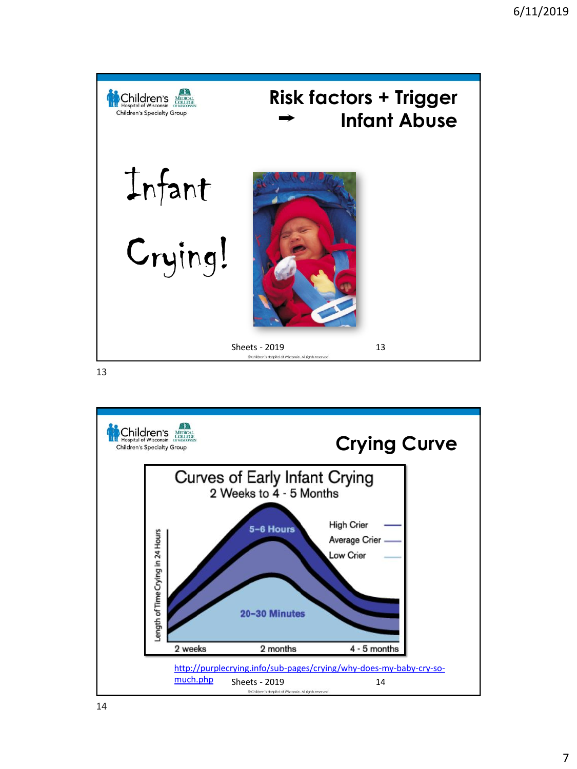

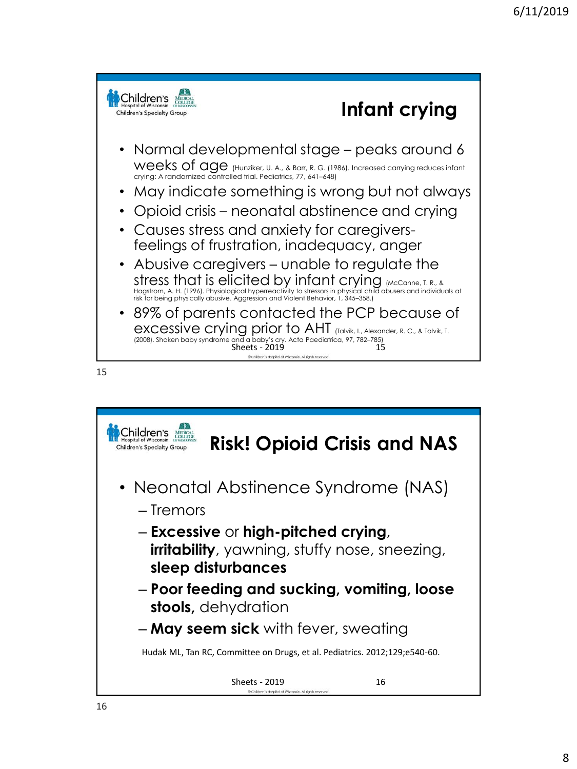

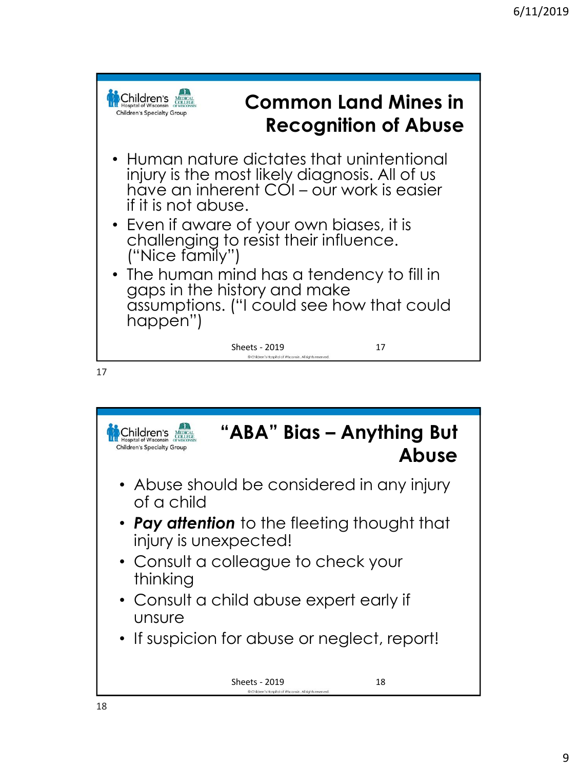

**"ABA" Bias – Anything But**  Children's MEDICAL Children's Specialty Group **Abuse** • Abuse should be considered in any injury of a child • *Pay attention* to the fleeting thought that injury is unexpected! • Consult a colleague to check your thinking • Consult a child abuse expert early if unsure • If suspicion for abuse or neglect, report! Sheets - 2019 18 @Children's Hospital of Wisconsin, All rights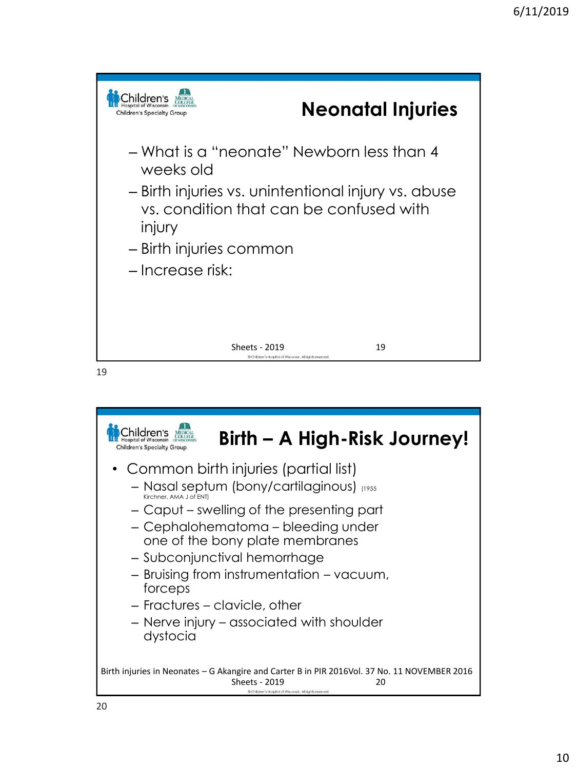

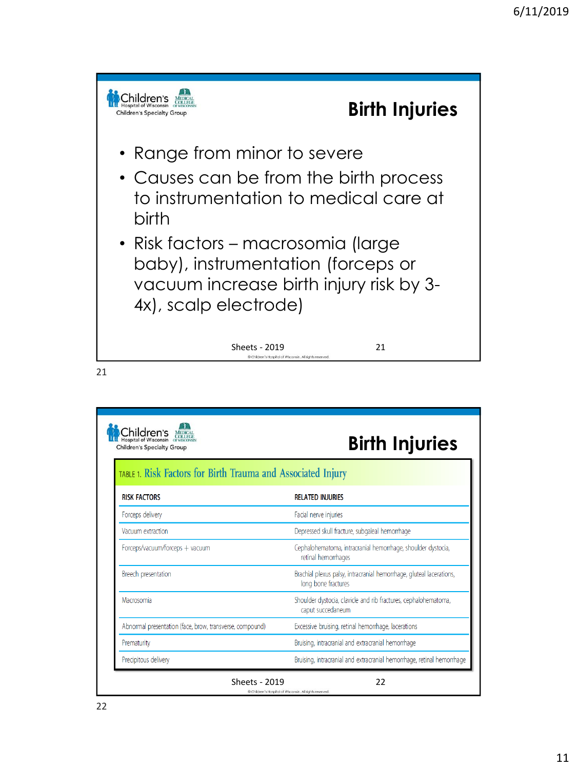

| <b>Children's Specialty Group</b>                            | <b>Birth Injuries</b>                                                                       |
|--------------------------------------------------------------|---------------------------------------------------------------------------------------------|
| TABLE 1. Risk Factors for Birth Trauma and Associated Injury |                                                                                             |
| <b>RISK FACTORS</b>                                          | <b>RELATED INJURIES</b>                                                                     |
| Forceps delivery                                             | Facial nerve injuries                                                                       |
| Vacuum extraction                                            | Depressed skull fracture, subgaleal hemorrhage                                              |
| Forceps/vacuum/forceps + vacuum                              | Cephalohematoma, intracranial hemorrhage, shoulder dystocia,<br>retinal hemorrhages         |
| Breech presentation                                          | Brachial plexus palsy, intracranial hemorrhage, gluteal lacerations,<br>long bone fractures |
| Macrosomia                                                   | Shoulder dystocia, clavicle and rib fractures, cephalohematoma,<br>caput succedaneum        |
| Abnormal presentation (face, brow, transverse, compound)     | Excessive bruising, retinal hemorrhage, lacerations                                         |
| Prematurity                                                  | Bruising, intracranial and extracranial hemorrhage                                          |
| Precipitous delivery                                         | Bruising, intracranial and extracranial hemorrhage, retinal hemorrhage                      |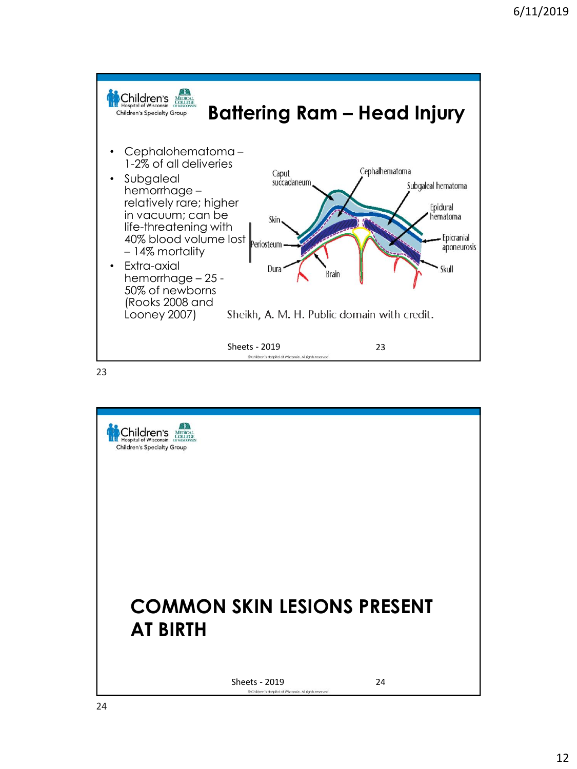

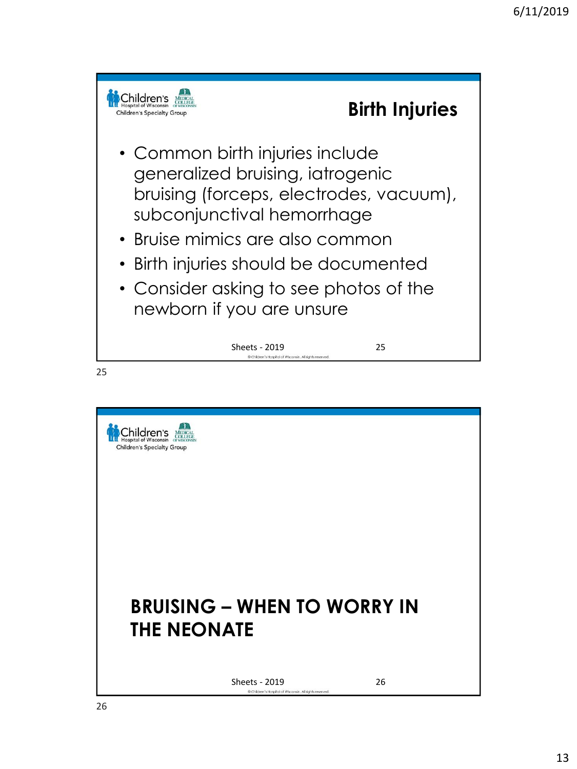

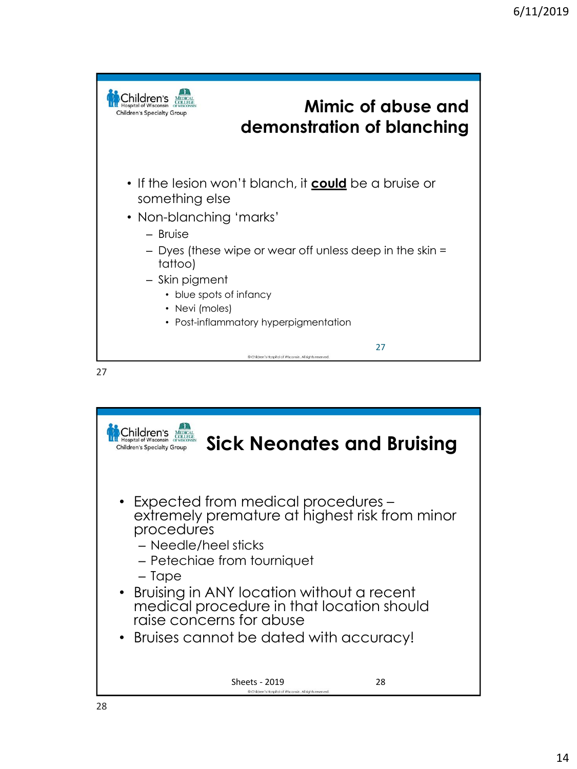

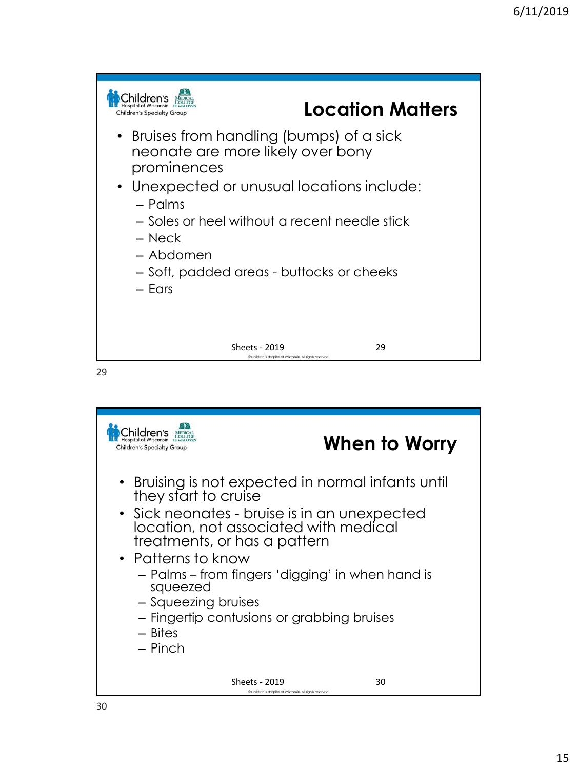

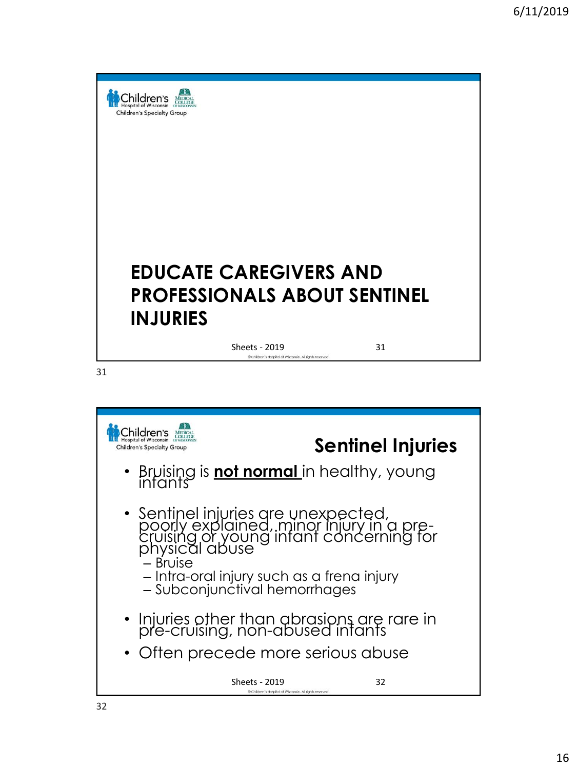



• Sentinel injuries are unexpected, poorly explained, minor injury in a precruising or young infant concerning for physical abuse

– Bruise

- Intra-oral injury such as a frena injury
- Subconjunctival hemorrhages
- Injuries other than abrasions are rare in pre-cruising, non-abused infants
- Often precede more serious abuse

Sheets - 2019 32<br>
SChilden's Hospital of Wisconsin. All rights reserved.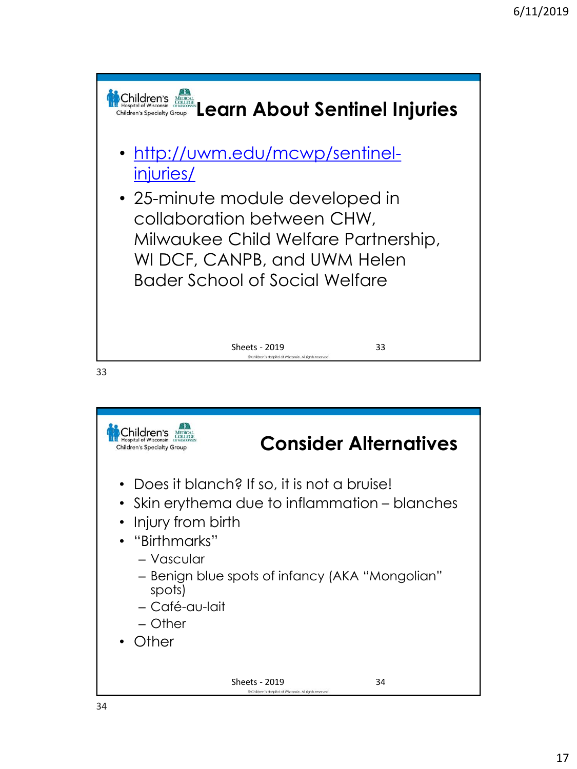

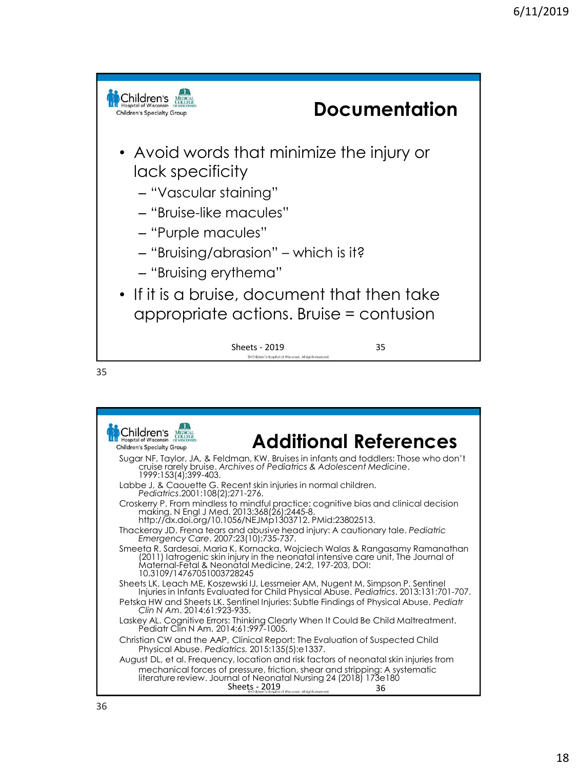